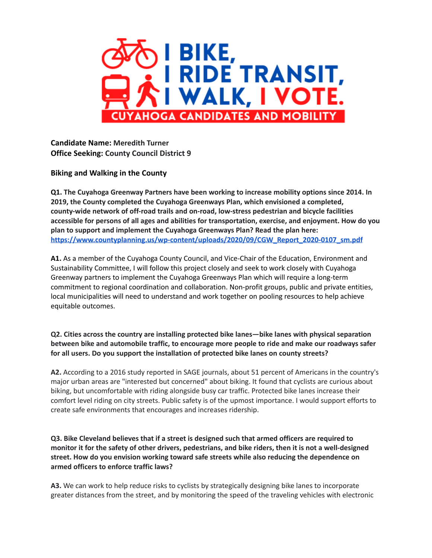

**Candidate Name: Meredith Turner Office Seeking: County Council District 9**

**Biking and Walking in the County**

**Q1. The Cuyahoga Greenway Partners have been working to increase mobility options since 2014. In 2019, the County completed the Cuyahoga Greenways Plan, which envisioned a completed, county-wide network of off-road trails and on-road, low-stress pedestrian and bicycle facilities accessible for persons of all ages and abilities for transportation, exercise, and enjoyment. How do you plan to support and implement the Cuyahoga Greenways Plan? Read the plan here: [https://www.countyplanning.us/wp-content/uploads/2020/09/CGW\\_Report\\_2020-0107\\_sm.pdf](https://www.countyplanning.us/wp-content/uploads/2020/09/CGW_Report_2020-0107_sm.pdf)**

**A1.** As a member of the Cuyahoga County Council, and Vice-Chair of the Education, Environment and Sustainability Committee, I will follow this project closely and seek to work closely with Cuyahoga Greenway partners to implement the Cuyahoga Greenways Plan which will require a long-term commitment to regional coordination and collaboration. Non-profit groups, public and private entities, local municipalities will need to understand and work together on pooling resources to help achieve equitable outcomes.

**Q2. Cities across the country are installing protected bike lanes—bike lanes with physical separation between bike and automobile traffic, to encourage more people to ride and make our roadways safer for all users. Do you support the installation of protected bike lanes on county streets?**

**A2.** According to a 2016 study reported in SAGE journals, about 51 percent of Americans in the country's major urban areas are "interested but concerned" about biking. It found that cyclists are curious about biking, but uncomfortable with riding alongside busy car traffic. Protected bike lanes increase their comfort level riding on city streets. Public safety is of the upmost importance. I would support efforts to create safe environments that encourages and increases ridership.

**Q3. Bike Cleveland believes that if a street is designed such that armed officers are required to** monitor it for the safety of other drivers, pedestrians, and bike riders, then it is not a well-designed **street. How do you envision working toward safe streets while also reducing the dependence on armed officers to enforce traffic laws?**

**A3.** We can work to help reduce risks to cyclists by strategically designing bike lanes to incorporate greater distances from the street, and by monitoring the speed of the traveling vehicles with electronic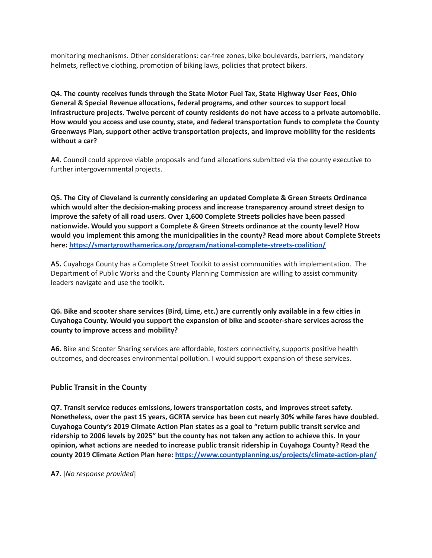monitoring mechanisms. Other considerations: car-free zones, bike boulevards, barriers, mandatory helmets, reflective clothing, promotion of biking laws, policies that protect bikers.

**Q4. The county receives funds through the State Motor Fuel Tax, State Highway User Fees, Ohio General & Special Revenue allocations, federal programs, and other sources to support local infrastructure projects. Twelve percent of county residents do not have access to a private automobile. How would you access and use county, state, and federal transportation funds to complete the County Greenways Plan, support other active transportation projects, and improve mobility for the residents without a car?**

**A4.** Council could approve viable proposals and fund allocations submitted via the county executive to further intergovernmental projects.

**Q5. The City of Cleveland is currently considering an updated Complete & Green Streets Ordinance which would alter the decision-making process and increase transparency around street design to improve the safety of all road users. Over 1,600 Complete Streets policies have been passed nationwide. Would you support a Complete & Green Streets ordinance at the county level? How would you implement this among the municipalities in the county? Read more about Complete Streets here: <https://smartgrowthamerica.org/program/national-complete-streets-coalition/>**

**A5.** Cuyahoga County has a Complete Street Toolkit to assist communities with implementation. The Department of Public Works and the County Planning Commission are willing to assist community leaders navigate and use the toolkit.

Q6. Bike and scooter share services (Bird, Lime, etc.) are currently only available in a few cities in **Cuyahoga County. Would you support the expansion of bike and scooter-share services across the county to improve access and mobility?**

**A6.** Bike and Scooter Sharing services are affordable, fosters connectivity, supports positive health outcomes, and decreases environmental pollution. I would support expansion of these services.

## **Public Transit in the County**

**Q7. Transit service reduces emissions, lowers transportation costs, and improves street safety. Nonetheless, over the past 15 years, GCRTA service has been cut nearly 30% while fares have doubled. Cuyahoga County's 2019 Climate Action Plan states as a goal to "return public transit service and** ridership to 2006 levels by 2025" but the county has not taken any action to achieve this. In your **opinion, what actions are needed to increase public transit ridership in Cuyahoga County? Read the county 2019 Climate Action Plan here: <https://www.countyplanning.us/projects/climate-action-plan/>**

**A7.** [*No response provided*]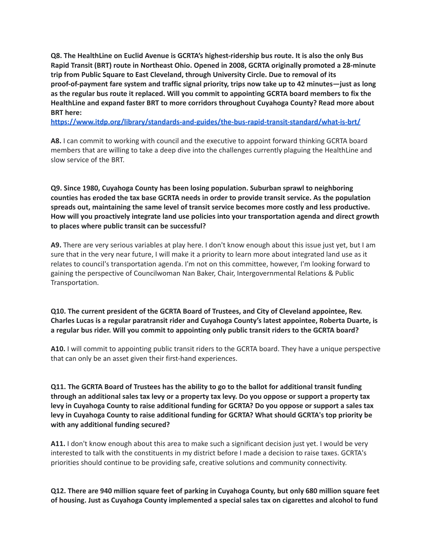**Q8. The HealthLine on Euclid Avenue is GCRTA's highest-ridership bus route. It is also the only Bus Rapid Transit (BRT) route in Northeast Ohio. Opened in 2008, GCRTA originally promoted a 28-minute trip from Public Square to East Cleveland, through University Circle. Due to removal of its proof-of-payment fare system and traffic signal priority, trips now take up to 42 minutes—just as long as the regular bus route it replaced. Will you commit to appointing GCRTA board members to fix the HealthLine and expand faster BRT to more corridors throughout Cuyahoga County? Read more about BRT here:**

**<https://www.itdp.org/library/standards-and-guides/the-bus-rapid-transit-standard/what-is-brt/>**

**A8.** I can commit to working with council and the executive to appoint forward thinking GCRTA board members that are willing to take a deep dive into the challenges currently plaguing the HealthLine and slow service of the BRT.

**Q9. Since 1980, Cuyahoga County has been losing population. Suburban sprawl to neighboring counties has eroded the tax base GCRTA needs in order to provide transit service. As the population spreads out, maintaining the same level of transit service becomes more costly and less productive. How will you proactively integrate land use policies into your transportation agenda and direct growth to places where public transit can be successful?**

**A9.** There are very serious variables at play here. I don't know enough about this issue just yet, but I am sure that in the very near future, I will make it a priority to learn more about integrated land use as it relates to council's transportation agenda. I'm not on this committee, however, I'm looking forward to gaining the perspective of Councilwoman Nan Baker, Chair, Intergovernmental Relations & Public Transportation.

**Q10. The current president of the GCRTA Board of Trustees, and City of Cleveland appointee, Rev. Charles Lucas is a regular paratransit rider and Cuyahoga County's latest appointee, Roberta Duarte, is a regular bus rider. Will you commit to appointing only public transit riders to the GCRTA board?**

**A10.** I will commit to appointing public transit riders to the GCRTA board. They have a unique perspective that can only be an asset given their first-hand experiences.

Q11. The GCRTA Board of Trustees has the ability to go to the ballot for additional transit funding through an additional sales tax levy or a property tax levy. Do you oppose or support a property tax levy in Cuyahoga County to raise additional funding for GCRTA? Do you oppose or support a sales tax **levy in Cuyahoga County to raise additional funding for GCRTA? What should GCRTA's top priority be with any additional funding secured?**

**A11.** I don't know enough about this area to make such a significant decision just yet. I would be very interested to talk with the constituents in my district before I made a decision to raise taxes. GCRTA's priorities should continue to be providing safe, creative solutions and community connectivity.

Q12. There are 940 million square feet of parking in Cuyahoga County, but only 680 million square feet **of housing. Just as Cuyahoga County implemented a special sales tax on cigarettes and alcohol to fund**